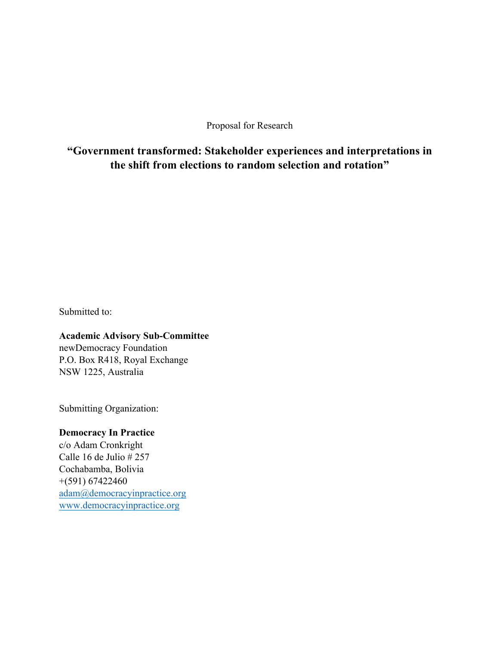Proposal for Research

**"Government transformed: Stakeholder experiences and interpretations in the shift from elections to random selection and rotation"**

Submitted to:

## **Academic Advisory Sub-Committee**

newDemocracy Foundation P.O. Box R418, Royal Exchange NSW 1225, Australia

Submitting Organization:

## **Democracy In Practice**

c/o Adam Cronkright Calle 16 de Julio # 257 Cochabamba, Bolivia +(591) 67422460 adam@democracyinpractice.org www.democracyinpractice.org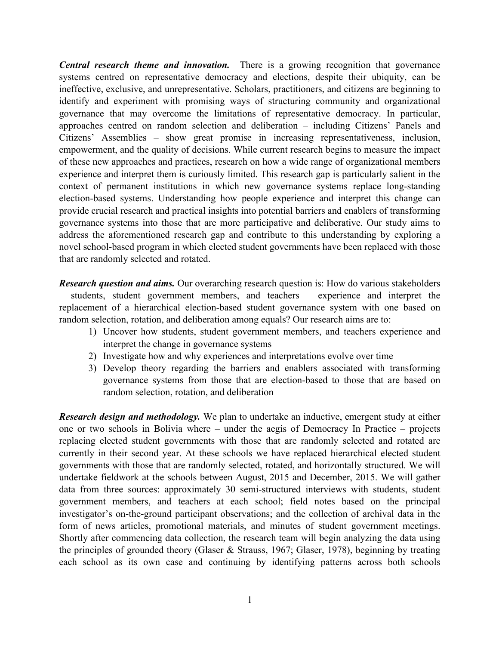*Central research theme and innovation.* There is a growing recognition that governance systems centred on representative democracy and elections, despite their ubiquity, can be ineffective, exclusive, and unrepresentative. Scholars, practitioners, and citizens are beginning to identify and experiment with promising ways of structuring community and organizational governance that may overcome the limitations of representative democracy. In particular, approaches centred on random selection and deliberation – including Citizens' Panels and Citizens' Assemblies – show great promise in increasing representativeness, inclusion, empowerment, and the quality of decisions. While current research begins to measure the impact of these new approaches and practices, research on how a wide range of organizational members experience and interpret them is curiously limited. This research gap is particularly salient in the context of permanent institutions in which new governance systems replace long-standing election-based systems. Understanding how people experience and interpret this change can provide crucial research and practical insights into potential barriers and enablers of transforming governance systems into those that are more participative and deliberative. Our study aims to address the aforementioned research gap and contribute to this understanding by exploring a novel school-based program in which elected student governments have been replaced with those that are randomly selected and rotated.

*Research question and aims.* Our overarching research question is: How do various stakeholders – students, student government members, and teachers – experience and interpret the replacement of a hierarchical election-based student governance system with one based on random selection, rotation, and deliberation among equals? Our research aims are to:

- 1) Uncover how students, student government members, and teachers experience and interpret the change in governance systems
- 2) Investigate how and why experiences and interpretations evolve over time
- 3) Develop theory regarding the barriers and enablers associated with transforming governance systems from those that are election-based to those that are based on random selection, rotation, and deliberation

*Research design and methodology.* We plan to undertake an inductive, emergent study at either one or two schools in Bolivia where – under the aegis of Democracy In Practice – projects replacing elected student governments with those that are randomly selected and rotated are currently in their second year. At these schools we have replaced hierarchical elected student governments with those that are randomly selected, rotated, and horizontally structured. We will undertake fieldwork at the schools between August, 2015 and December, 2015. We will gather data from three sources: approximately 30 semi-structured interviews with students, student government members, and teachers at each school; field notes based on the principal investigator's on-the-ground participant observations; and the collection of archival data in the form of news articles, promotional materials, and minutes of student government meetings. Shortly after commencing data collection, the research team will begin analyzing the data using the principles of grounded theory (Glaser & Strauss, 1967; Glaser, 1978), beginning by treating each school as its own case and continuing by identifying patterns across both schools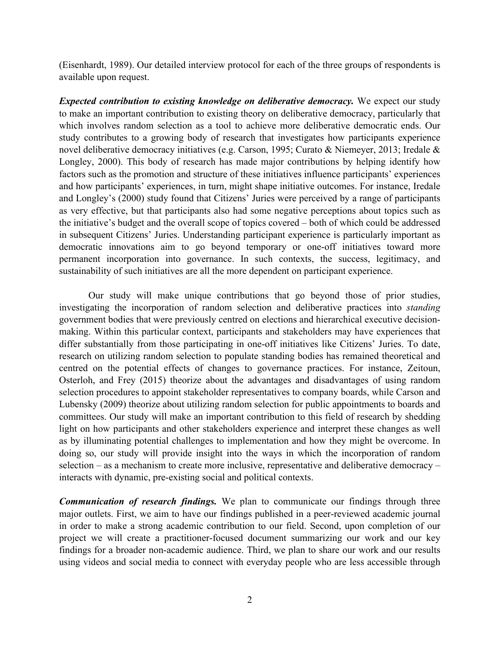(Eisenhardt, 1989). Our detailed interview protocol for each of the three groups of respondents is available upon request.

*Expected contribution to existing knowledge on deliberative democracy.* We expect our study to make an important contribution to existing theory on deliberative democracy, particularly that which involves random selection as a tool to achieve more deliberative democratic ends. Our study contributes to a growing body of research that investigates how participants experience novel deliberative democracy initiatives (e.g. Carson, 1995; Curato & Niemeyer, 2013; Iredale & Longley, 2000). This body of research has made major contributions by helping identify how factors such as the promotion and structure of these initiatives influence participants' experiences and how participants' experiences, in turn, might shape initiative outcomes. For instance, Iredale and Longley's (2000) study found that Citizens' Juries were perceived by a range of participants as very effective, but that participants also had some negative perceptions about topics such as the initiative's budget and the overall scope of topics covered – both of which could be addressed in subsequent Citizens' Juries. Understanding participant experience is particularly important as democratic innovations aim to go beyond temporary or one-off initiatives toward more permanent incorporation into governance. In such contexts, the success, legitimacy, and sustainability of such initiatives are all the more dependent on participant experience.

Our study will make unique contributions that go beyond those of prior studies, investigating the incorporation of random selection and deliberative practices into *standing* government bodies that were previously centred on elections and hierarchical executive decisionmaking. Within this particular context, participants and stakeholders may have experiences that differ substantially from those participating in one-off initiatives like Citizens' Juries. To date, research on utilizing random selection to populate standing bodies has remained theoretical and centred on the potential effects of changes to governance practices. For instance, Zeitoun, Osterloh, and Frey (2015) theorize about the advantages and disadvantages of using random selection procedures to appoint stakeholder representatives to company boards, while Carson and Lubensky (2009) theorize about utilizing random selection for public appointments to boards and committees. Our study will make an important contribution to this field of research by shedding light on how participants and other stakeholders experience and interpret these changes as well as by illuminating potential challenges to implementation and how they might be overcome. In doing so, our study will provide insight into the ways in which the incorporation of random selection – as a mechanism to create more inclusive, representative and deliberative democracy – interacts with dynamic, pre-existing social and political contexts.

*Communication of research findings.* We plan to communicate our findings through three major outlets. First, we aim to have our findings published in a peer-reviewed academic journal in order to make a strong academic contribution to our field. Second, upon completion of our project we will create a practitioner-focused document summarizing our work and our key findings for a broader non-academic audience. Third, we plan to share our work and our results using videos and social media to connect with everyday people who are less accessible through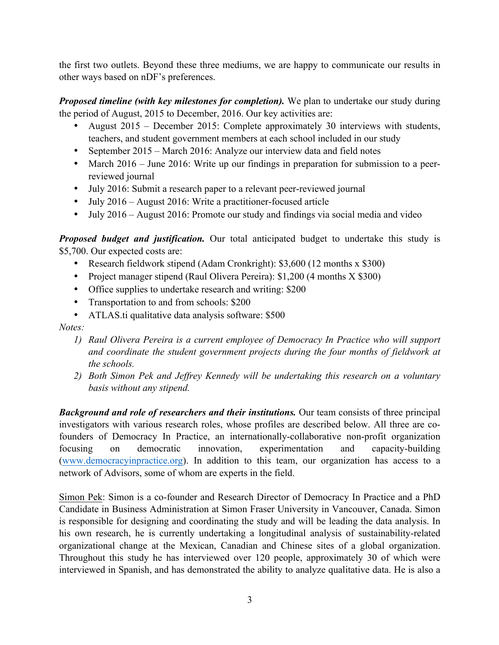the first two outlets. Beyond these three mediums, we are happy to communicate our results in other ways based on nDF's preferences.

*Proposed timeline (with key milestones for completion).* We plan to undertake our study during the period of August, 2015 to December, 2016. Our key activities are:

- August 2015 December 2015: Complete approximately 30 interviews with students, teachers, and student government members at each school included in our study
- September 2015 March 2016: Analyze our interview data and field notes
- March 2016 June 2016: Write up our findings in preparation for submission to a peerreviewed journal
- July 2016: Submit a research paper to a relevant peer-reviewed journal
- July 2016 August 2016: Write a practitioner-focused article
- July 2016 August 2016: Promote our study and findings via social media and video

*Proposed budget and justification.* Our total anticipated budget to undertake this study is \$5,700. Our expected costs are:

- Research fieldwork stipend (Adam Cronkright): \$3,600 (12 months x \$300)
- Project manager stipend (Raul Olivera Pereira): \$1,200 (4 months X \$300)
- Office supplies to undertake research and writing: \$200
- Transportation to and from schools: \$200
- ATLAS.ti qualitative data analysis software: \$500

## *Notes:*

- *1) Raul Olivera Pereira is a current employee of Democracy In Practice who will support and coordinate the student government projects during the four months of fieldwork at the schools.*
- *2) Both Simon Pek and Jeffrey Kennedy will be undertaking this research on a voluntary basis without any stipend.*

*Background and role of researchers and their institutions.* Our team consists of three principal investigators with various research roles, whose profiles are described below. All three are cofounders of Democracy In Practice, an internationally-collaborative non-profit organization focusing on democratic innovation, experimentation and capacity-building (www.democracyinpractice.org). In addition to this team, our organization has access to a network of Advisors, some of whom are experts in the field.

Simon Pek: Simon is a co-founder and Research Director of Democracy In Practice and a PhD Candidate in Business Administration at Simon Fraser University in Vancouver, Canada. Simon is responsible for designing and coordinating the study and will be leading the data analysis. In his own research, he is currently undertaking a longitudinal analysis of sustainability-related organizational change at the Mexican, Canadian and Chinese sites of a global organization. Throughout this study he has interviewed over 120 people, approximately 30 of which were interviewed in Spanish, and has demonstrated the ability to analyze qualitative data. He is also a